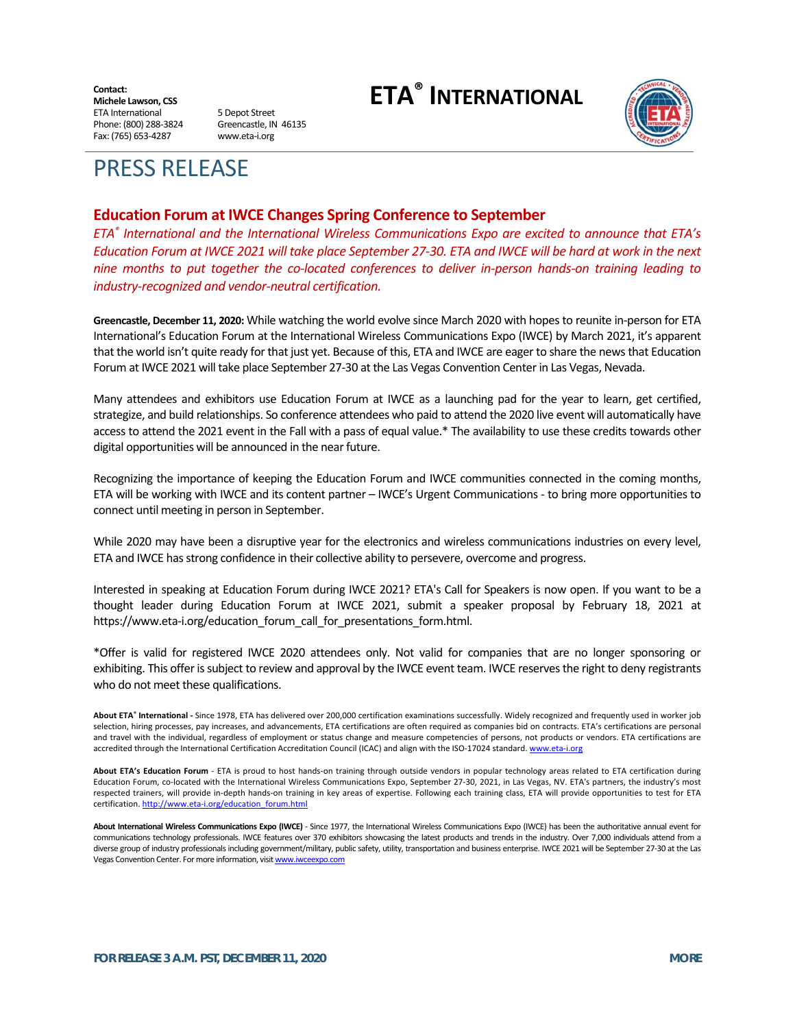**Contact: Michele Lawson, CSS**  ETA International Phone: (800) 288‐3824 Fax: (765) 653‐4287

5 Depot Street Greencastle, IN 46135 www.eta‐i.org

**ETA® INTERNATIONAL**



## PRESS RELEASE

## **Education Forum at IWCE Changes Spring Conference to September**

*ETA® International and the International Wireless Communications Expo are excited to announce that ETA's Education Forum at IWCE 2021 will take place September 27‐30. ETA and IWCE will be hard at work in the next nine months to put together the co‐located conferences to deliver in‐person hands‐on training leading to industry‐recognized and vendor‐neutral certification.* 

**Greencastle, December 11, 2020:** While watching the world evolve since March 2020 with hopes to reunite in‐person for ETA International's Education Forum at the International Wireless Communications Expo (IWCE) by March 2021, it's apparent that the world isn't quite ready for that just yet. Because of this, ETA and IWCE are eager to share the news that Education Forum at IWCE 2021 will take place September 27‐30 at the Las Vegas Convention Center in Las Vegas, Nevada.

Many attendees and exhibitors use Education Forum at IWCE as a launching pad for the year to learn, get certified, strategize, and build relationships. So conference attendees who paid to attend the 2020 live event will automatically have access to attend the 2021 event in the Fall with a pass of equal value.\* The availability to use these credits towards other digital opportunities will be announced in the near future.

Recognizing the importance of keeping the Education Forum and IWCE communities connected in the coming months, ETA will be working with IWCE and its content partner – IWCE's Urgent Communications ‐ to bring more opportunities to connect until meeting in person in September.

While 2020 may have been a disruptive year for the electronics and wireless communications industries on every level, ETA and IWCE has strong confidence in their collective ability to persevere, overcome and progress.

Interested in speaking at Education Forum during IWCE 2021? ETA's Call for Speakers is now open. If you want to be a thought leader during Education Forum at IWCE 2021, submit a speaker proposal by February 18, 2021 at https://www.eta-i.org/education forum call for presentations form.html.

\*Offer is valid for registered IWCE 2020 attendees only. Not valid for companies that are no longer sponsoring or exhibiting. This offer is subject to review and approval by the IWCE event team. IWCE reserves the right to deny registrants who do not meet these qualifications.

About ETA<sup>®</sup> International - Since 1978, ETA has delivered over 200,000 certification examinations successfully. Widely recognized and frequently used in worker job selection, hiring processes, pay increases, and advancements, ETA certifications are often required as companies bid on contracts. ETA's certifications are personal and travel with the individual, regardless of employment or status change and measure competencies of persons, not products or vendors. ETA certifications are accredited through the International Certification Accreditation Council (ICAC) and align with the ISO-17024 standard. www.eta-i.org

About ETA's Education Forum - ETA is proud to host hands-on training through outside vendors in popular technology areas related to ETA certification during Education Forum, co-located with the International Wireless Communications Expo, September 27-30, 2021, in Las Vegas, NV. ETA's partners, the industry's most respected trainers, will provide in‐depth hands‐on training in key areas of expertise. Following each training class, ETA will provide opportunities to test for ETA certification. http://www.eta-i.org/education\_forum.html

About International Wireless Communications Expo (IWCE) - Since 1977, the International Wireless Communications Expo (IWCE) has been the authoritative annual event for communications technology professionals. IWCE features over 370 exhibitors showcasing the latest products and trends in the industry. Over 7,000 individuals attend from a diverse group of industry professionals including government/military, public safety, utility, transportation and business enterprise. IWCE 2021 will be September 27-30 at the Las Vegas Convention Center. For more information, visit www.iwceexpo.com